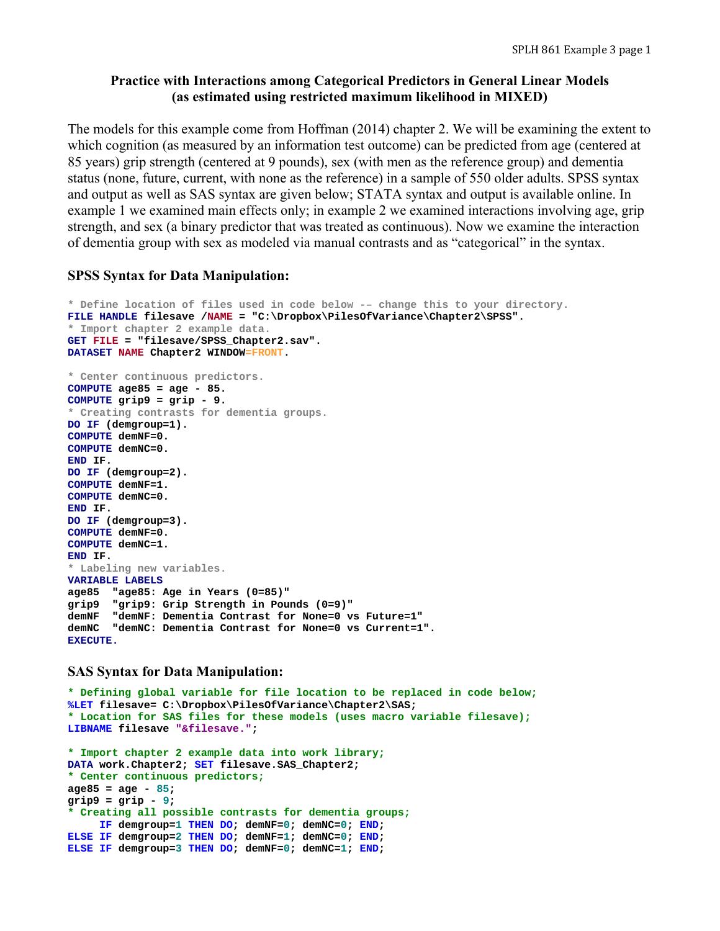## **Practice with Interactions among Categorical Predictors in General Linear Models (as estimated using restricted maximum likelihood in MIXED)**

The models for this example come from Hoffman (2014) chapter 2. We will be examining the extent to which cognition (as measured by an information test outcome) can be predicted from age (centered at 85 years) grip strength (centered at 9 pounds), sex (with men as the reference group) and dementia status (none, future, current, with none as the reference) in a sample of 550 older adults. SPSS syntax and output as well as SAS syntax are given below; STATA syntax and output is available online. In example 1 we examined main effects only; in example 2 we examined interactions involving age, grip strength, and sex (a binary predictor that was treated as continuous). Now we examine the interaction of dementia group with sex as modeled via manual contrasts and as "categorical" in the syntax.

### **SPSS Syntax for Data Manipulation:**

```
* Define location of files used in code below -– change this to your directory.
FILE HANDLE filesave /NAME = "C:\Dropbox\PilesOfVariance\Chapter2\SPSS". 
* Import chapter 2 example data. 
GET FILE = "filesave/SPSS_Chapter2.sav". 
DATASET NAME Chapter2 WINDOW=FRONT. 
* Center continuous predictors.
COMPUTE age85 = age - 85. 
COMPUTE grip9 = grip - 9. 
* Creating contrasts for dementia groups.
DO IF (demgroup=1). 
COMPUTE demNF=0. 
COMPUTE demNC=0. 
END IF. 
DO IF (demgroup=2). 
COMPUTE demNF=1. 
COMPUTE demNC=0. 
END IF. 
DO IF (demgroup=3). 
COMPUTE demNF=0. 
COMPUTE demNC=1. 
END IF. 
* Labeling new variables.
VARIABLE LABELS 
age85 "age85: Age in Years (0=85)" 
grip9 "grip9: Grip Strength in Pounds (0=9)" 
demNF "demNF: Dementia Contrast for None=0 vs Future=1" 
demNC "demNC: Dementia Contrast for None=0 vs Current=1". 
EXECUTE.
```
## **SAS Syntax for Data Manipulation:**

```
* Defining global variable for file location to be replaced in code below;
%LET filesave= C:\Dropbox\PilesOfVariance\Chapter2\SAS; 
* Location for SAS files for these models (uses macro variable filesave);
LIBNAME filesave "&filesave."; 
* Import chapter 2 example data into work library;
DATA work.Chapter2; SET filesave.SAS_Chapter2; 
* Center continuous predictors;
age85 = age - 85; 
grip9 = grip - 9; 
* Creating all possible contrasts for dementia groups;
      IF demgroup=1 THEN DO; demNF=0; demNC=0; END; 
ELSE IF demgroup=2 THEN DO; demNF=1; demNC=0; END; 
ELSE IF demgroup=3 THEN DO; demNF=0; demNC=1; END;
```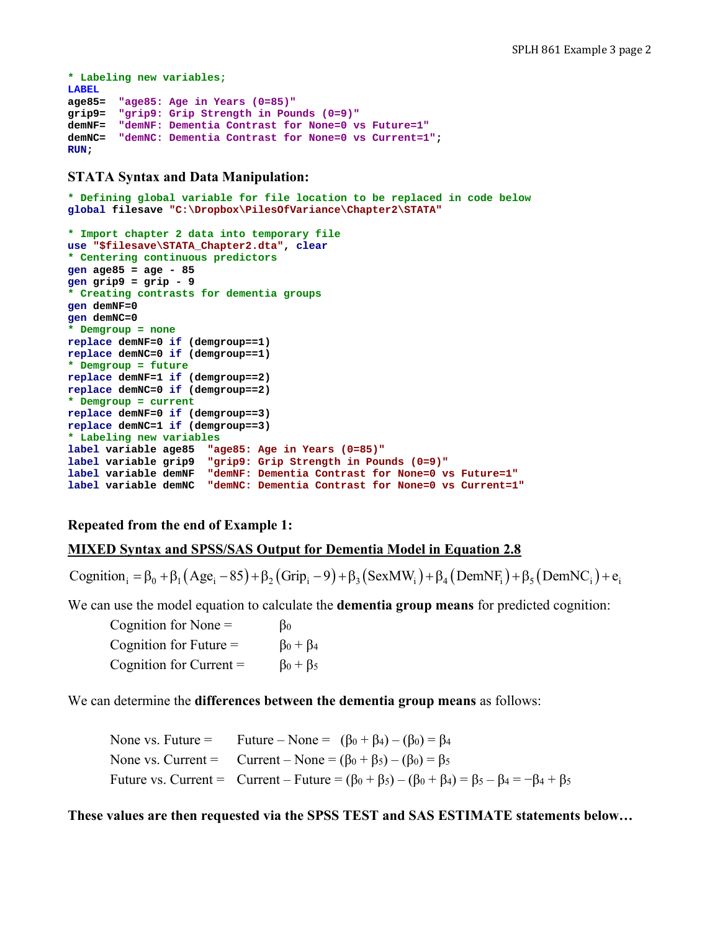```
* Labeling new variables;
LABEL 
age85= "age85: Age in Years (0=85)"
grip9= "grip9: Grip Strength in Pounds (0=9)"
demNF= "demNF: Dementia Contrast for None=0 vs Future=1"
demNC= "demNC: Dementia Contrast for None=0 vs Current=1"; 
RUN;
```
### **STATA Syntax and Data Manipulation:**

```
* Defining global variable for file location to be replaced in code below
global filesave "C:\Dropbox\PilesOfVariance\Chapter2\STATA" 
* Import chapter 2 data into temporary file
use "$filesave\STATA_Chapter2.dta", clear 
* Centering continuous predictors
gen age85 = age - 85 
gen grip9 = grip - 9 
* Creating contrasts for dementia groups
gen demNF=0 
gen demNC=0 
* Demgroup = none 
replace demNF=0 if (demgroup==1) 
replace demNC=0 if (demgroup==1) 
* Demgroup = future 
replace demNF=1 if (demgroup==2) 
replace demNC=0 if (demgroup==2) 
* Demgroup = current
replace demNF=0 if (demgroup==3) 
replace demNC=1 if (demgroup==3) 
* Labeling new variables
label variable age85 "age85: Age in Years (0=85)" 
label variable grip9 "grip9: Grip Strength in Pounds (0=9)" 
label variable demNF "demNF: Dementia Contrast for None=0 vs Future=1" 
label variable demNC "demNC: Dementia Contrast for None=0 vs Current=1"
```
## **Repeated from the end of Example 1:**

### **MIXED Syntax and SPSS/SAS Output for Dementia Model in Equation 2.8**

Cognition  $\beta_0 = \beta_0 + \beta_1 (Age_i - 85) + \beta_2 (Grip_i - 9) + \beta_3 (SexMW_i) + \beta_4 (DemNF_i) + \beta_5 (DemNC_i) + e_i$ 

We can use the model equation to calculate the **dementia group means** for predicted cognition:

Cognition for None  $=$   $\beta_0$ Cognition for Future =  $\beta_0 + \beta_4$ Cognition for Current =  $\beta_0 + \beta_5$ 

We can determine the **differences between the dementia group means** as follows:

None vs. Future = Future – None =  $(\beta_0 + \beta_4) - (\beta_0) = \beta_4$ None vs. Current = Current – None =  $(\beta_0 + \beta_5) - (\beta_0) = \beta_5$ Future vs. Current = Current – Future =  $(\beta_0 + \beta_5) - (\beta_0 + \beta_4) = \beta_5 - \beta_4 = -\beta_4 + \beta_5$ 

**These values are then requested via the SPSS TEST and SAS ESTIMATE statements below…**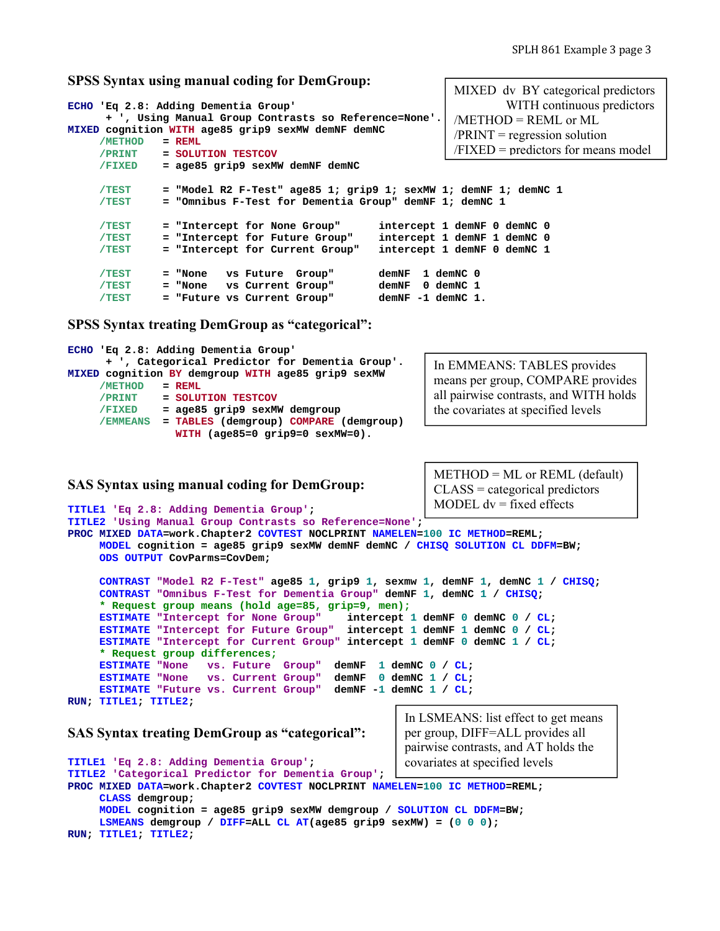MIXED dv BY categorical predictors

#### **SPSS Syntax using manual coding for DemGroup:**

| /METHOD<br>/PRINT | ECHO 'Eq 2.8: Adding Dementia Group'<br>+ ', Using Manual Group Contrasts so Reference=None'.<br>MIXED cognition WITH age85 grip9 sexMW demNF demNC<br>$=$ REML<br>= SOLUTION TESTCOV | WITH continuous predictors<br>$METHOD = REML$ or ML<br>$/PRINT = regression solution$<br>$/FIXED = predictors for means model$ |
|-------------------|---------------------------------------------------------------------------------------------------------------------------------------------------------------------------------------|--------------------------------------------------------------------------------------------------------------------------------|
| /FIXED            | = age85 grip9 sexMW demNF demNC                                                                                                                                                       |                                                                                                                                |
| /TEST<br>/TEST    | = "Model R2 F-Test" age85 1; grip9 1; sexMW 1; demNF 1; demNC 1<br>= "Omnibus F-Test for Dementia Group" demNF 1; demNC 1                                                             |                                                                                                                                |
| /TEST             | = "Intercept for None Group"                                                                                                                                                          | intercept 1 demNF 0 demNC 0                                                                                                    |
| /TEST             | = "Intercept for Future Group"                                                                                                                                                        | intercept 1 demNF 1 demNC 0                                                                                                    |
| /TEST             | = "Intercept for Current Group"                                                                                                                                                       | intercept 1 demNF 0 demNC 1                                                                                                    |
| /TEST             | vs Future Group"<br>= "None                                                                                                                                                           | 1 demNC 0<br>demNF                                                                                                             |
| /TEST             | vs Current Group"<br>= "None                                                                                                                                                          | demNF<br>0 demNC 1                                                                                                             |
| /TEST             | = "Future vs Current Group"                                                                                                                                                           | demNF -1 demNC 1.                                                                                                              |

**SPSS Syntax treating DemGroup as "categorical":**

```
ECHO 'Eq 2.8: Adding Dementia Group' 
      + ', Categorical Predictor for Dementia Group'. 
MIXED cognition BY demgroup WITH age85 grip9 sexMW 
      /METHOD = REML
      /PRINT = SOLUTION TESTCOV 
      /FIXED = age85 grip9 sexMW demgroup 
      /EMMEANS = TABLES (demgroup) COMPARE (demgroup) 
                  WITH (age85=0 grip9=0 sexMW=0). 
                                                             In EMMEANS: TABLES provides 
                                                             means per group, COMPARE provides 
                                                             all pairwise contrasts, and WITH holds 
                                                             the covariates at specified levels
```
**SAS Syntax using manual coding for DemGroup:**

**TITLE1 'Eq 2.8: Adding Dementia Group';** 

 $METHOD = ML$  or REML (default) CLASS = categorical predictors MODEL  $dv = fixed$  effects

```
TITLE2 'Using Manual Group Contrasts so Reference=None'; 
PROC MIXED DATA=work.Chapter2 COVTEST NOCLPRINT NAMELEN=100 IC METHOD=REML; 
      MODEL cognition = age85 grip9 sexMW demNF demNC / CHISQ SOLUTION CL DDFM=BW; 
      ODS OUTPUT CovParms=CovDem; 
      CONTRAST "Model R2 F-Test" age85 1, grip9 1, sexmw 1, demNF 1, demNC 1 / CHISQ; 
      CONTRAST "Omnibus F-Test for Dementia Group" demNF 1, demNC 1 / CHISQ; 
      * Request group means (hold age=85, grip=9, men);
      ESTIMATE "Intercept for None Group" intercept 1 demNF 0 demNC 0 / CL; 
      ESTIMATE "Intercept for Future Group" intercept 1 demNF 1 demNC 0 / CL; 
      ESTIMATE "Intercept for Current Group" intercept 1 demNF 0 demNC 1 / CL; 
      * Request group differences;
      ESTIMATE "None vs. Future Group" demNF 1 demNC 0 / CL; 
      ESTIMATE "None vs. Current Group" demNF 0 demNC 1 / CL; 
      ESTIMATE "Future vs. Current Group" demNF -1 demNC 1 / CL; 
RUN; TITLE1; TITLE2; 
SAS Syntax treating DemGroup as "categorical":
                                                       In LSMEANS: list effect to get means 
                                                       per group, DIFF=ALL provides all 
                                                       pairwise contrasts, and AT holds the
```
#### **TITLE1 'Eq 2.8: Adding Dementia Group'; TITLE2 'Categorical Predictor for Dementia Group'; PROC MIXED DATA=work.Chapter2 COVTEST NOCLPRINT NAMELEN=100 IC METHOD=REML; CLASS demgroup; MODEL cognition = age85 grip9 sexMW demgroup / SOLUTION CL DDFM=BW;**  covariates at specified levels

```
 LSMEANS demgroup / DIFF=ALL CL AT(age85 grip9 sexMW) = (0 0 0); 
RUN; TITLE1; TITLE2;
```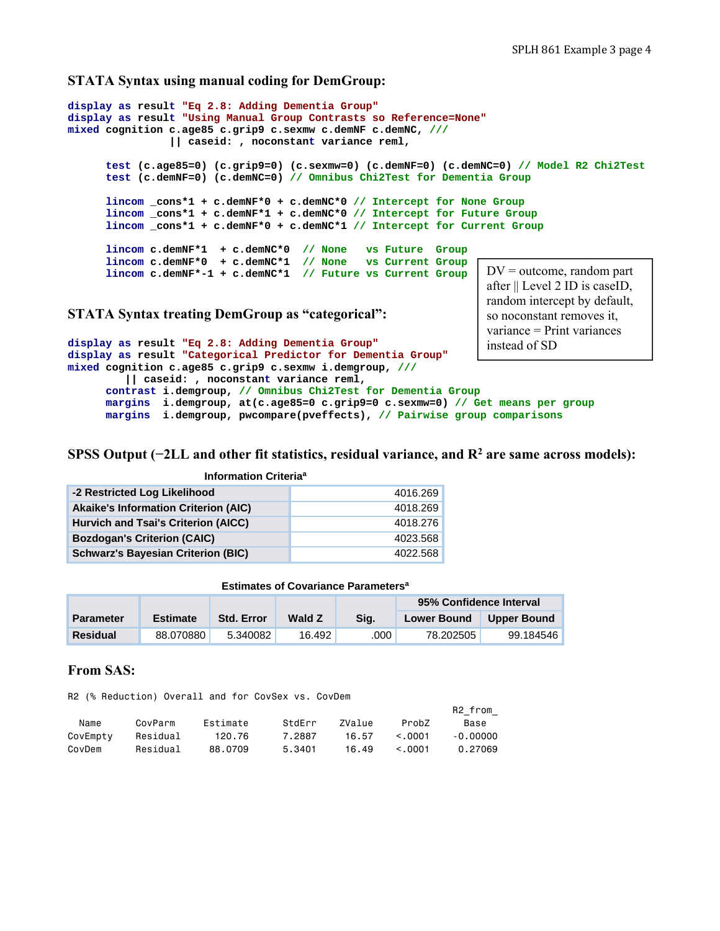#### **STATA Syntax using manual coding for DemGroup:**

```
display as result "Eq 2.8: Adding Dementia Group" 
display as result "Using Manual Group Contrasts so Reference=None" 
mixed cognition c.age85 c.grip9 c.sexmw c.demNF c.demNC, /// 
                 || caseid: , noconstant variance reml, 
       test (c.age85=0) (c.grip9=0) (c.sexmw=0) (c.demNF=0) (c.demNC=0) // Model R2 Chi2Test 
       test (c.demNF=0) (c.demNC=0) // Omnibus Chi2Test for Dementia Group 
       lincom _cons*1 + c.demNF*0 + c.demNC*0 // Intercept for None Group
       lincom _cons*1 + c.demNF*1 + c.demNC*0 // Intercept for Future Group
       lincom _cons*1 + c.demNF*0 + c.demNC*1 // Intercept for Current Group 
       lincom c.demNF*1 + c.demNC*0 // None vs Future Group 
       lincom c.demNF*0 + c.demNC*1 // None vs Current Group
       lincom c.demNF*-1 + c.demNC*1 // Future vs Current Group 
STATA Syntax treating DemGroup as "categorical":
display as result "Eq 2.8: Adding Dementia Group" 
display as result "Categorical Predictor for Dementia Group" 
mixed cognition c.age85 c.grip9 c.sexmw i.demgroup, ///
          || caseid: , noconstant variance reml, 
                                                                     DV = outcome, random part
                                                                     after || Level 2 ID is caseID, 
                                                                     random intercept by default, 
                                                                     so noconstant removes it, 
                                                                     variance = Print variances 
                                                                     instead of SD
```
 **contrast i.demgroup, // Omnibus Chi2Test for Dementia Group margins i.demgroup, at(c.age85=0 c.grip9=0 c.sexmw=0) // Get means per group margins i.demgroup, pwcompare(pveffects), // Pairwise group comparisons**

**SPSS Output (−2LL and other fit statistics, residual variance, and R2 are same across models):** 

| Information Criteria <sup>a</sup>           |          |  |  |  |  |  |  |
|---------------------------------------------|----------|--|--|--|--|--|--|
| -2 Restricted Log Likelihood                | 4016.269 |  |  |  |  |  |  |
| <b>Akaike's Information Criterion (AIC)</b> | 4018.269 |  |  |  |  |  |  |
| Hurvich and Tsai's Criterion (AICC)         | 4018.276 |  |  |  |  |  |  |
| <b>Bozdogan's Criterion (CAIC)</b>          | 4023.568 |  |  |  |  |  |  |
| <b>Schwarz's Bayesian Criterion (BIC)</b>   | 4022.568 |  |  |  |  |  |  |

#### **Estimates of Covariance Parametersa**

|                  |                 |                   |        |      | 95% Confidence Interval |                    |
|------------------|-----------------|-------------------|--------|------|-------------------------|--------------------|
| <b>Parameter</b> | <b>Estimate</b> | <b>Std. Error</b> | Wald Z | Sia. | <b>Lower Bound</b>      | <b>Upper Bound</b> |
| <b>Residual</b>  | 88.070880       | 5.340082          | 16.492 | .000 | 78.202505               | 99.184546          |

### **From SAS:**

R2 (% Reduction) Overall and for CovSex vs. CovDem

|          |          |          |        |        |              | R2 from  |
|----------|----------|----------|--------|--------|--------------|----------|
| Name     | CovParm  | Fstimate | StdFrr | ZValue | Prob7        | Base     |
| CovEmpty | Residual | 120.76   | 7.2887 | 16.57  | $\leq$ .0001 | -0.00000 |
| CovDem   | Residual | 88.0709  | 5.3401 | 16.49  | $\leq$ .0001 | 0.27069  |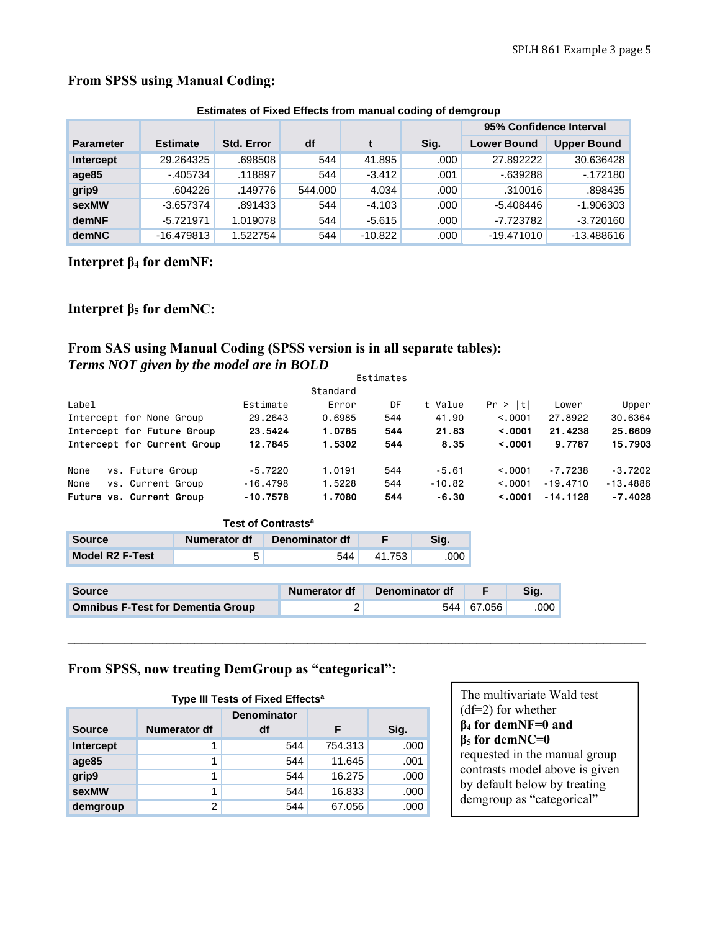|                  | Estimates of Fixed Effects from manual coding of demgroup |                   |         |           |      |                         |                    |  |  |  |  |  |  |
|------------------|-----------------------------------------------------------|-------------------|---------|-----------|------|-------------------------|--------------------|--|--|--|--|--|--|
|                  |                                                           |                   |         |           |      | 95% Confidence Interval |                    |  |  |  |  |  |  |
| <b>Parameter</b> | <b>Estimate</b>                                           | <b>Std. Error</b> | df      |           | Sig. | <b>Lower Bound</b>      | <b>Upper Bound</b> |  |  |  |  |  |  |
| Intercept        | 29.264325                                                 | .698508           | 544     | 41.895    | .000 | 27.892222               | 30.636428          |  |  |  |  |  |  |
| age85            | $-405734$                                                 | .118897           | 544     | $-3.412$  | .001 | $-639288$               | $-172180$          |  |  |  |  |  |  |
| grip9            | .604226                                                   | .149776           | 544.000 | 4.034     | .000 | .310016                 | .898435            |  |  |  |  |  |  |
| sexMW            | $-3.657374$                                               | .891433           | 544     | $-4.103$  | .000 | $-5.408446$             | $-1.906303$        |  |  |  |  |  |  |
| demNF            | $-5.721971$                                               | 1.019078          | 544     | $-5.615$  | .000 | -7.723782               | $-3.720160$        |  |  |  |  |  |  |
| <b>demNC</b>     | $-16.479813$                                              | 1.522754          | 544     | $-10.822$ | .000 | $-19.471010$            | $-13.488616$       |  |  |  |  |  |  |

# **From SPSS using Manual Coding:**

**Estimates of Fixed Effects from manual coding of demgroup**

**Interpret β4 for demNF:** 

## **Interpret β5 for demNC:**

## **From SAS using Manual Coding (SPSS version is in all separate tables):**  *Terms NOT given by the model are in BOLD*

|       |                             |            |          | Estimates |          |         |            |            |
|-------|-----------------------------|------------|----------|-----------|----------|---------|------------|------------|
|       |                             |            | Standard |           |          |         |            |            |
| Label |                             | Estimate   | Error    | DF        | t Value  | Pr >  t | Lower      | Upper      |
|       | Intercept for None Group    | 29.2643    | 0.6985   | 544       | 41.90    | < 0.001 | 27,8922    | 30,6364    |
|       | Intercept for Future Group  | 23.5424    | 1.0785   | 544       | 21.83    | < .0001 | 21,4238    | 25,6609    |
|       | Intercept for Current Group | 12.7845    | 1.5302   | 544       | 8.35     | < .0001 | 9.7787     | 15.7903    |
| None  | vs. Future Group            | $-5.7220$  | 1.0191   | 544       | $-5.61$  | < 0.001 | $-7.7238$  | $-3.7202$  |
| None  | vs. Current Group           | $-16,4798$ | 1,5228   | 544       | $-10.82$ | < 0.001 | $-19.4710$ | $-13,4886$ |
|       | Future vs. Current Group    | $-10.7578$ | 1.7080   | 544       | -6.30    | < .0001 | $-14.1128$ | $-7.4028$  |

**\_\_\_\_\_\_\_\_\_\_\_\_\_\_\_\_\_\_\_\_\_\_\_\_\_\_\_\_\_\_\_\_\_\_\_\_\_\_\_\_\_\_\_\_\_\_\_\_\_\_\_\_\_\_\_\_\_\_\_\_\_\_\_\_\_\_\_\_\_\_\_\_\_\_\_\_\_\_\_\_\_\_** 

| Test of Contrasts <sup>a</sup>                   |  |     |        |     |  |  |  |  |  |  |  |
|--------------------------------------------------|--|-----|--------|-----|--|--|--|--|--|--|--|
| Denominator df<br>Numerator df<br>Source<br>Sia. |  |     |        |     |  |  |  |  |  |  |  |
| <b>Model R2 F-Test</b>                           |  | 544 | 41.753 | 000 |  |  |  |  |  |  |  |

| <b>Source</b>                            | Numerator df | Denominator df |            |      |
|------------------------------------------|--------------|----------------|------------|------|
| <b>Omnibus F-Test for Dementia Group</b> |              |                | 544 67.056 | .000 |

## **From SPSS, now treating DemGroup as "categorical":**

| Type III Tests of Fixed Effects <sup>a</sup> |              |                          |         |      |  |  |  |  |  |  |  |
|----------------------------------------------|--------------|--------------------------|---------|------|--|--|--|--|--|--|--|
| <b>Source</b>                                | Numerator df | <b>Denominator</b><br>df | F       | Sig. |  |  |  |  |  |  |  |
| Intercept                                    |              | 544                      | 754.313 | .000 |  |  |  |  |  |  |  |
| age85                                        | 1            | 544                      | 11.645  | .001 |  |  |  |  |  |  |  |
| grip9                                        | 1            | 544                      | 16.275  | .000 |  |  |  |  |  |  |  |
| sexMW                                        | 1            | 544                      | 16.833  | .000 |  |  |  |  |  |  |  |
| demgroup                                     | 2            | 544                      | 67.056  | .000 |  |  |  |  |  |  |  |

The multivariate Wald test (df=2) for whether **β4 for demNF=0 and β5 for demNC=0** requested in the manual group contrasts model above is given by default below by treating demgroup as "categorical"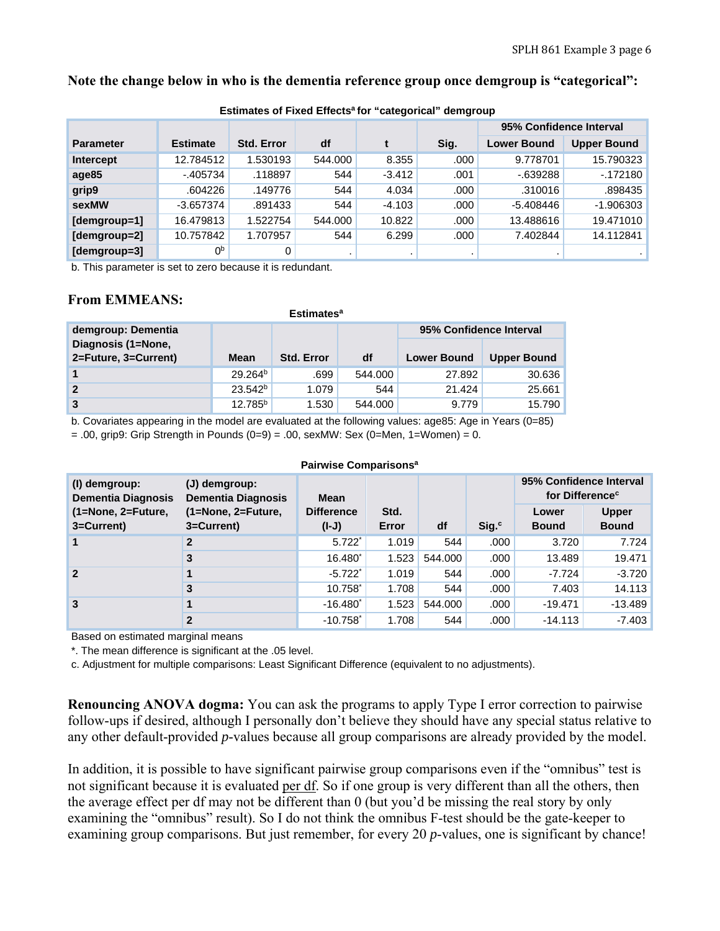## **Note the change below in who is the dementia reference group once demgroup is "categorical":**

|                  |                 |                   |         |          |      | 95% Confidence Interval |                    |
|------------------|-----------------|-------------------|---------|----------|------|-------------------------|--------------------|
| <b>Parameter</b> | <b>Estimate</b> | <b>Std. Error</b> | df      |          | Sig. | <b>Lower Bound</b>      | <b>Upper Bound</b> |
| <b>Intercept</b> | 12.784512       | 1.530193          | 544.000 | 8.355    | .000 | 9.778701                | 15.790323          |
| age85            | $-405734$       | .118897           | 544     | $-3.412$ | .001 | $-639288$               | $-172180$          |
| grip9            | .604226         | .149776           | 544     | 4.034    | .000 | .310016                 | .898435            |
| sexMW            | $-3.657374$     | .891433           | 544     | $-4.103$ | .000 | $-5.408446$             | $-1.906303$        |
| [demgroup=1]     | 16.479813       | 1.522754          | 544.000 | 10.822   | .000 | 13.488616               | 19.471010          |
| [demgroup=2]     | 10.757842       | 1.707957          | 544     | 6.299    | .000 | 7.402844                | 14.112841          |
| [demgroup=3]     | 0 <sub>p</sub>  | 0                 |         |          |      |                         |                    |

**Estimates of Fixed Effectsa for "categorical" demgroup**

b. This parameter is set to zero because it is redundant.

## **From EMMEANS:**

| <b>Estimates<sup>a</sup></b> |                     |                   |         |                         |                    |  |  |  |  |  |  |
|------------------------------|---------------------|-------------------|---------|-------------------------|--------------------|--|--|--|--|--|--|
| demgroup: Dementia           |                     |                   |         | 95% Confidence Interval |                    |  |  |  |  |  |  |
| Diagnosis (1=None,           |                     |                   |         |                         |                    |  |  |  |  |  |  |
| 2=Future, 3=Current)         | <b>Mean</b>         | <b>Std. Error</b> | df      | <b>Lower Bound</b>      | <b>Upper Bound</b> |  |  |  |  |  |  |
| $\mathbf{1}$                 | 29.264 <sup>b</sup> | .699              | 544.000 | 27.892                  | 30.636             |  |  |  |  |  |  |
| $\overline{2}$               | 23.542 <sup>b</sup> | 1.079             | 544     | 21.424                  | 25.661             |  |  |  |  |  |  |
| 3                            | $12.785^{b}$        | 1.530             | 544.000 | 9.779                   | 15.790             |  |  |  |  |  |  |

b. Covariates appearing in the model are evaluated at the following values: age85: Age in Years (0=85)

 $= .00$ , grip9: Grip Strength in Pounds  $(0=9) = .00$ , sexMW: Sex  $(0=Men, 1=Women) = 0$ .

|                                            |                                            | Pairwise Comparisons <sup>a</sup> |       |         |                  |                                                        |              |
|--------------------------------------------|--------------------------------------------|-----------------------------------|-------|---------|------------------|--------------------------------------------------------|--------------|
| (I) demgroup:<br><b>Dementia Diagnosis</b> | (J) demgroup:<br><b>Dementia Diagnosis</b> | <b>Mean</b>                       |       |         |                  | 95% Confidence Interval<br>for Difference <sup>c</sup> |              |
| (1=None, 2=Future,                         | (1=None, 2=Future,                         | <b>Difference</b>                 | Std.  |         |                  | Lower                                                  | <b>Upper</b> |
| 3=Current)                                 | 3=Current)                                 | $(I-J)$                           | Error | df      | Sig <sub>c</sub> | <b>Bound</b>                                           | <b>Bound</b> |
| 1                                          | $\mathbf{2}$                               | $5.722$ <sup>*</sup>              | 1.019 | 544     | .000             | 3.720                                                  | 7.724        |
|                                            | 3                                          | $16.480^*$                        | 1.523 | 544.000 | .000             | 13.489                                                 | 19.471       |
| $\overline{2}$                             |                                            | $-5.722$ <sup>*</sup>             | 1.019 | 544     | .000             | $-7.724$                                               | $-3.720$     |
|                                            | 3                                          | $10.758^*$                        | 1.708 | 544     | .000             | 7.403                                                  | 14.113       |
| 3                                          | 1                                          | $-16.480^{\circ}$                 | 1.523 | 544.000 | .000             | $-19.471$                                              | $-13.489$    |
|                                            | $\mathbf{2}$                               | $-10.758$ <sup>*</sup>            | 1.708 | 544     | .000             | $-14.113$                                              | $-7.403$     |

Based on estimated marginal means

\*. The mean difference is significant at the .05 level.

c. Adjustment for multiple comparisons: Least Significant Difference (equivalent to no adjustments).

**Renouncing ANOVA dogma:** You can ask the programs to apply Type I error correction to pairwise follow-ups if desired, although I personally don't believe they should have any special status relative to any other default-provided *p*-values because all group comparisons are already provided by the model.

In addition, it is possible to have significant pairwise group comparisons even if the "omnibus" test is not significant because it is evaluated per df. So if one group is very different than all the others, then the average effect per df may not be different than 0 (but you'd be missing the real story by only examining the "omnibus" result). So I do not think the omnibus F-test should be the gate-keeper to examining group comparisons. But just remember, for every 20 *p*-values, one is significant by chance!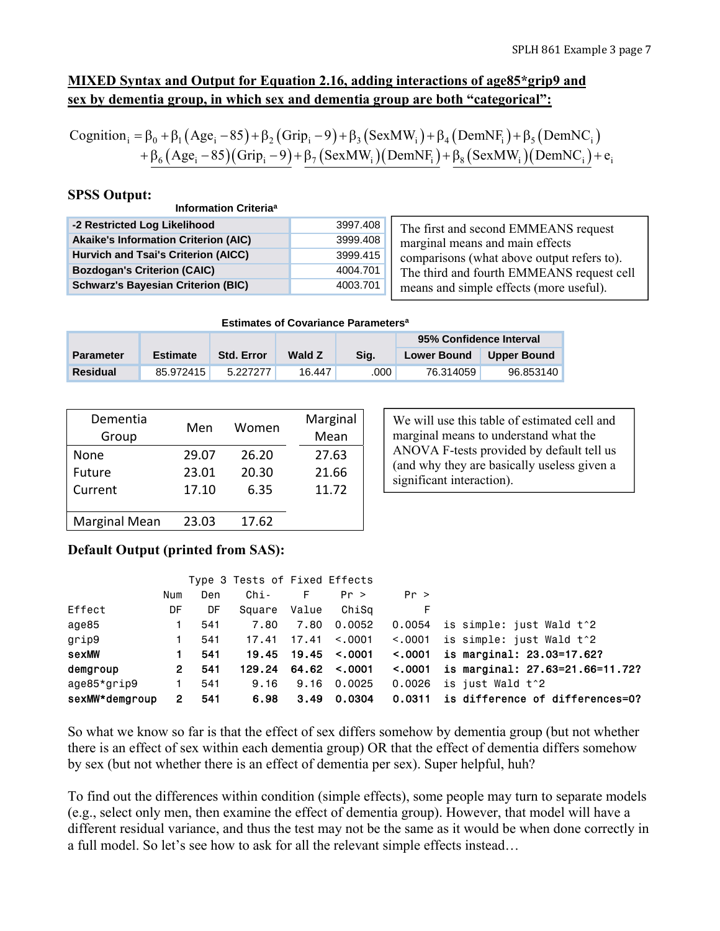# **MIXED Syntax and Output for Equation 2.16, adding interactions of age85\*grip9 and sex by dementia group, in which sex and dementia group are both "categorical":**

Cognition<sub>i</sub> =  $\beta_0$  +  $\beta_1$  (Age<sub>i</sub> - 85) +  $\beta_2$  (Grip<sub>i</sub> - 9) +  $\beta_3$  (SexMW<sub>i</sub>) +  $\beta_4$  (DemNF<sub>i</sub>) +  $\beta_5$  (DemNC<sub>i</sub>)  $+\beta_6 (\text{Age}_i - 85)(\text{Grip}_i - 9) + \beta_7 (\text{SexMW}_i)(\text{DemNF}_i) + \beta_8 (\text{SexMW}_i)(\text{DemNC}_i) + e_i$ 

## **SPSS Output:**

| Information Criteria <sup>a</sup>           |          |                                            |
|---------------------------------------------|----------|--------------------------------------------|
| -2 Restricted Log Likelihood                | 3997.408 | The first and second EMMEANS request       |
| <b>Akaike's Information Criterion (AIC)</b> | 3999.408 | marginal means and main effects            |
| Hurvich and Tsai's Criterion (AICC)         | 3999.415 | comparisons (what above output refers to). |
| <b>Bozdogan's Criterion (CAIC)</b>          | 4004.701 | The third and fourth EMMEANS request cell  |
| <b>Schwarz's Bayesian Criterion (BIC)</b>   | 4003.701 | means and simple effects (more useful).    |

**Estimates of Covariance Parametersa**

|                  |                 |                   |               |      | 95% Confidence Interval |             |
|------------------|-----------------|-------------------|---------------|------|-------------------------|-------------|
| <b>Parameter</b> | <b>Estimate</b> | <b>Std. Error</b> | <b>Wald Z</b> | Sia. | <b>Lower Bound</b>      | Upper Bound |
| <b>Residual</b>  | 85.972415       | 5227277           | 16.447        | .000 | 76.314059               | 96.853140   |

| Dementia<br>Group    | Men   | Women | Marginal<br>Mean |
|----------------------|-------|-------|------------------|
| None                 | 29.07 | 26.20 | 27.63            |
| Future               | 23.01 | 20.30 | 21.66            |
| Current              | 17.10 | 6.35  | 11.72            |
|                      |       |       |                  |
| <b>Marginal Mean</b> | 23.03 | 17.62 |                  |

We will use this table of estimated cell and marginal means to understand what the ANOVA F-tests provided by default tell us (and why they are basically useless given a significant interaction).

## **Default Output (printed from SAS):**

|                |     |     | Type 3 Tests of Fixed Effects |       |                   |              |                                 |
|----------------|-----|-----|-------------------------------|-------|-------------------|--------------|---------------------------------|
|                | Num | Den | Chi-                          | F     | Pr >              | Pr >         |                                 |
| Effect         | DF  | DF  | Square                        | Value | ChiSa             | F            |                                 |
| age85          | 1   | 541 | 7.80                          | 7.80  | 0.0052            | 0.0054       | is simple: just Wald t^2        |
| grip9          | 1.  | 541 | 17.41                         | 17.41 | < 0.001           | < 0.001      | is simple: just Wald t^2        |
| sexMW          | 1.  | 541 | 19.45                         |       | $19.45$ <.0001    | < 0.001      | is marginal: 23.03=17.62?       |
| demgroup       | 2   | 541 | 129.24                        |       | $64.62 \div 0001$ | $\leq 0.001$ | is marginal: 27.63=21.66=11.72? |
| age85*grip9    |     | 541 | 9.16                          | 9.16  | 0.0025            | 0.0026       | is just Wald t^2                |
| sexMW*demgroup | 2   | 541 | 6.98                          | 3.49  | 0.0304            | 0.0311       | is difference of differences=0? |

So what we know so far is that the effect of sex differs somehow by dementia group (but not whether there is an effect of sex within each dementia group) OR that the effect of dementia differs somehow by sex (but not whether there is an effect of dementia per sex). Super helpful, huh?

To find out the differences within condition (simple effects), some people may turn to separate models (e.g., select only men, then examine the effect of dementia group). However, that model will have a different residual variance, and thus the test may not be the same as it would be when done correctly in a full model. So let's see how to ask for all the relevant simple effects instead…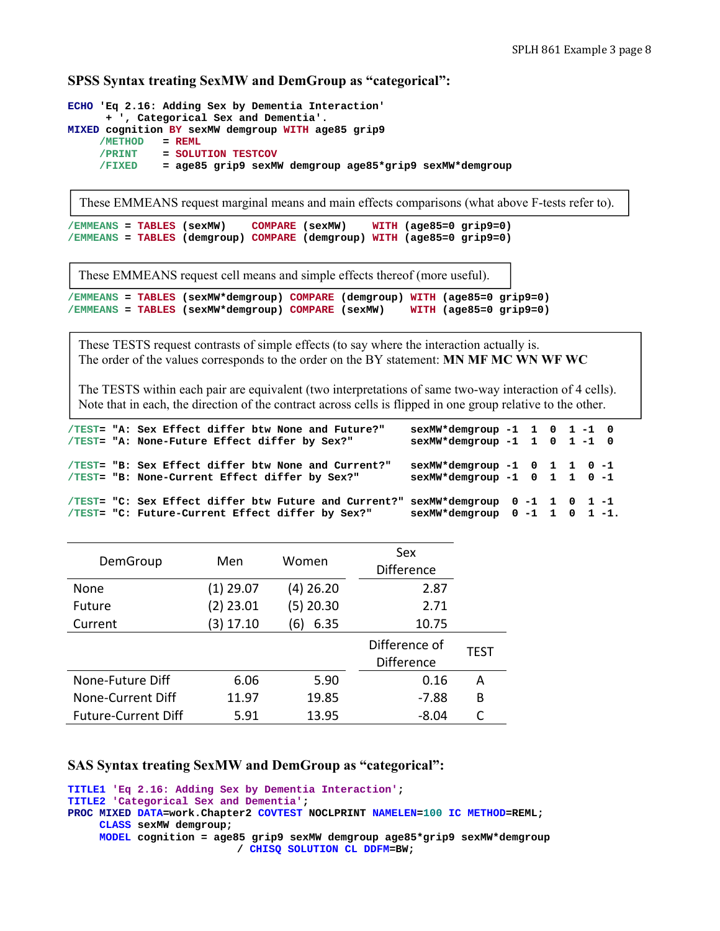## **SPSS Syntax treating SexMW and DemGroup as "categorical":**

```
ECHO 'Eq 2.16: Adding Sex by Dementia Interaction' 
      + ', Categorical Sex and Dementia'. 
MIXED cognition BY sexMW demgroup WITH age85 grip9 
     /METHOD = REML
     /PRINT = SOLUTION TESTCOV 
     /FIXED = age85 grip9 sexMW demgroup age85*grip9 sexMW*demgroup
```
These EMMEANS request marginal means and main effects comparisons (what above F-tests refer to).

```
/EMMEANS = TABLES (sexMW) COMPARE (sexMW) WITH (age85=0 grip9=0) 
/EMMEANS = TABLES (demgroup) COMPARE (demgroup) WITH (age85=0 grip9=0)
```
These EMMEANS request cell means and simple effects thereof (more useful).

```
/EMMEANS = TABLES (sexMW*demgroup) COMPARE (demgroup) WITH (age85=0 grip9=0) 
/EMMEANS = TABLES (sexMW*demgroup) COMPARE (sexMW) WITH (age85=0 grip9=0)
```
These TESTS request contrasts of simple effects (to say where the interaction actually is. The order of the values corresponds to the order on the BY statement: **MN MF MC WN WF WC**

The TESTS within each pair are equivalent (two interpretations of same two-way interaction of 4 cells). Note that in each, the direction of the contract across cells is flipped in one group relative to the other.

|  | /TEST= "A: Sex Effect differ btw None and Future?"<br>/TEST= "A: None-Future Effect differ by Sex?"                                    | $sexMW*demgroup -1 1 0 1 -1 0$<br>$sexMW*demgroup -1 1 0 1 -1 0$ |  |  |  |
|--|----------------------------------------------------------------------------------------------------------------------------------------|------------------------------------------------------------------|--|--|--|
|  | /TEST= "B: Sex Effect differ btw None and Current?"<br>/TEST= "B: None-Current Effect differ by Sex?"                                  | $sexMW*demgroup -1 0 1 1 0 -1$<br>sexMW*demgroup -1 0 1 1 0 -1   |  |  |  |
|  | /TEST= "C: Sex Effect differ btw Future and Current?" sexMW*demgroup 0 -1 1 0 1 -1<br>/TEST= "C: Future-Current Effect differ by Sex?" | $sexMW*demgroup 0 -1 1 0 1 -1.$                                  |  |  |  |

| DemGroup                   | Men         | Women     | Sex<br><b>Difference</b>           |      |
|----------------------------|-------------|-----------|------------------------------------|------|
| None                       | (1) 29.07   | (4) 26.20 | 2.87                               |      |
| Future                     | (2) 23.01   | (5) 20.30 | 2.71                               |      |
| Current                    | $(3)$ 17.10 | 6.35<br>6 | 10.75                              |      |
|                            |             |           | Difference of<br><b>Difference</b> | TEST |
| None-Future Diff           | 6.06        | 5.90      | 0.16                               | A    |
| None-Current Diff          | 11.97       | 19.85     | $-7.88$                            | B    |
| <b>Future-Current Diff</b> | 5.91        | 13.95     | $-8.04$                            |      |

#### **SAS Syntax treating SexMW and DemGroup as "categorical":**

```
TITLE1 'Eq 2.16: Adding Sex by Dementia Interaction'; 
TITLE2 'Categorical Sex and Dementia'; 
PROC MIXED DATA=work.Chapter2 COVTEST NOCLPRINT NAMELEN=100 IC METHOD=REML; 
      CLASS sexMW demgroup; 
      MODEL cognition = age85 grip9 sexMW demgroup age85*grip9 sexMW*demgroup 
                           / CHISQ SOLUTION CL DDFM=BW;
```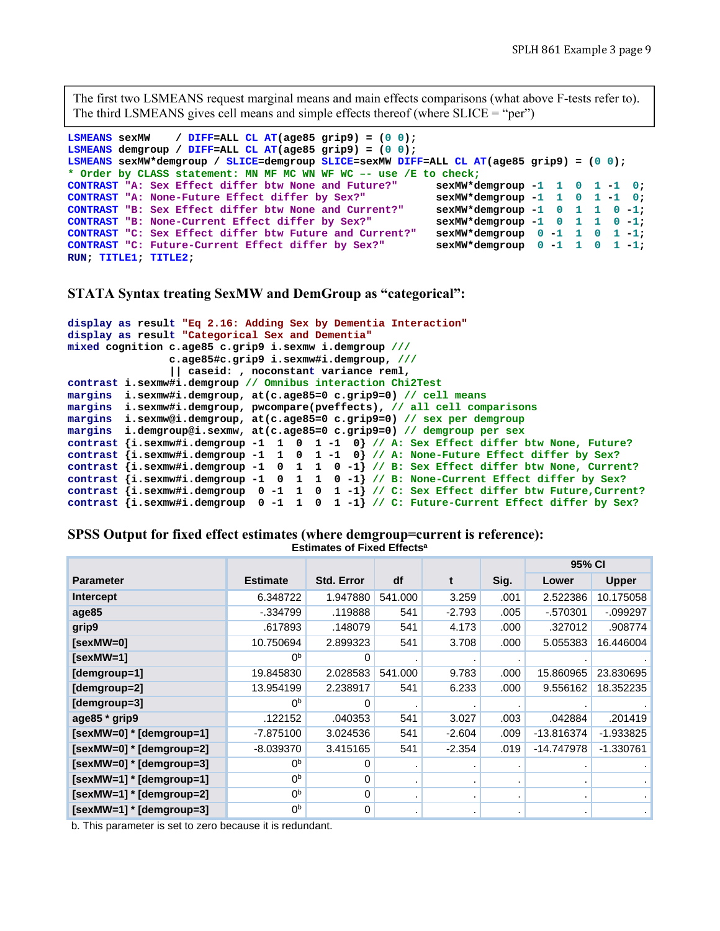The first two LSMEANS request marginal means and main effects comparisons (what above F-tests refer to). The third LSMEANS gives cell means and simple effects thereof (where  $SLICE = "per"$ )

```
LSMEANS sexMW / DIFF=ALL CL AT(age85 grip9) = (0 0); 
LSMEANS demgroup / DIFF=ALL CL AT(age85 grip9) = (0 0); 
LSMEANS sexMW*demgroup / SLICE=demgroup SLICE=sexMW DIFF=ALL CL AT(age85 grip9) = (0 0); 
* Order by CLASS statement: MN MF MC WN WF WC –- use /E to check;
CONTRAST "A: Sex Effect differ btw None and Future?" sexMW*demgroup -1 1 0 1 -1 0;<br>
CONTRAST "A: None-Future Effect differ by Sex?" sexMW*demgroup -1 1 0 1 -1 0;
CONTRAST "A: None-Future Effect differ by Sex?" sexMW*demgroup -1 1 0 1 -1 0;<br>CONTRAST "B: Sex Effect differ btw None and Current?" sexMW*demgroup -1 0 1 1 0 -1;
CONTRAST "B: Sex Effect differ btw None and Current?" sexMW*demgroup -1 0 1 1 0 -1;<br>
CONTRAST "B: None-Current Effect differ by Sex?" sexMW*demgroup -1 0 1 1 0 -1;
CONTRAST "B: None-Current Effect differ by Sex?"
CONTRAST "C: Sex Effect differ btw Future and Current?" sexMW*demgroup 0 -1 1 0 1 -1; <br>CONTRAST "C: Future-Current Effect differ by Sex?" sexMW*demgroup 0 -1 1 0 1 -1;
CONTRAST "C: Future-Current Effect differ by Sex?"
RUN; TITLE1; TITLE2;
```
**STATA Syntax treating SexMW and DemGroup as "categorical":** 

```
display as result "Eq 2.16: Adding Sex by Dementia Interaction" 
display as result "Categorical Sex and Dementia" 
mixed cognition c.age85 c.grip9 i.sexmw i.demgroup ///
                c.age85#c.grip9 i.sexmw#i.demgroup, ///
                 || caseid: , noconstant variance reml, 
contrast i.sexmw#i.demgroup // Omnibus interaction Chi2Test
margins i.sexmw#i.demgroup, at(c.age85=0 c.grip9=0) // cell means 
margins i.sexmw#i.demgroup, pwcompare(pveffects), // all cell comparisons 
margins i.sexmw@i.demgroup, at(c.age85=0 c.grip9=0) // sex per demgroup
margins i.demgroup@i.sexmw, at(c.age85=0 c.grip9=0) // demgroup per sex
contrast {i.sexmw#i.demgroup -1 1 0 1 -1 0} // A: Sex Effect differ btw None, Future? 
contrast {i.sexmw#i.demgroup -1 1 0 1 -1 0} // A: None-Future Effect differ by Sex?
contrast {i.sexmw#i.demgroup -1 0 1 1 0 -1} // B: Sex Effect differ btw None, Current? 
contrast {i.sexmw#i.demgroup -1 0 1 1 0 -1} // B: None-Current Effect differ by Sex?
contrast {i.sexmw#i.demgroup 0 -1 1 0 1 -1} // C: Sex Effect differ btw Future,Current? 
contrast {i.sexmw#i.demgroup 0 -1 1 0 1 -1} // C: Future-Current Effect differ by Sex?
```

|                            |                 |                   |         |          |                | 95% CI     |              |  |  |
|----------------------------|-----------------|-------------------|---------|----------|----------------|------------|--------------|--|--|
| <b>Parameter</b>           | <b>Estimate</b> | <b>Std. Error</b> | df      | t        | Sig.           | Lower      | <b>Upper</b> |  |  |
| Intercept                  | 6.348722        | 1.947880          | 541.000 | 3.259    | .001           | 2.522386   | 10.175058    |  |  |
| age85                      | $-.334799$      | .119888           | 541     | $-2.793$ | .005           | $-570301$  | $-099297$    |  |  |
| grip9                      | .617893         | .148079           | 541     | 4.173    | .000           | .327012    | .908774      |  |  |
| [sexMW=0]                  | 10.750694       | 2.899323          | 541     | 3.708    | .000           | 5.055383   | 16.446004    |  |  |
| $[sexMW=1]$                | 0 <sub>p</sub>  | 0                 |         |          |                |            |              |  |  |
| [demgroup=1]               | 19.845830       | 2.028583          | 541.000 | 9.783    | .000           | 15.860965  | 23.830695    |  |  |
| [demgroup=2]               | 13.954199       | 2.238917          | 541     | 6.233    | .000           | 9.556162   | 18.352235    |  |  |
| [demgroup=3]               | 0 <sub>p</sub>  | 0                 |         |          |                |            |              |  |  |
| age85 * grip9              | .122152         | .040353           | 541     | 3.027    | .003           | .042884    | .201419      |  |  |
| $[sexMW=0] * [demgroup=1]$ | -7.875100       | 3.024536          | 541     | $-2.604$ | .009           | -13.816374 | $-1.933825$  |  |  |
| [sexMW=0] * [demgroup=2]   | $-8.039370$     | 3.415165          | 541     | $-2.354$ | .019           | -14.747978 | $-1.330761$  |  |  |
| $[sexMW=0] * [demgroup=3]$ | 0 <sub>p</sub>  | 0                 |         |          |                |            |              |  |  |
| [sexMW=1] * [demgroup=1]   | 0 <sub>p</sub>  | 0                 |         |          |                |            |              |  |  |
| $[sexMW=1] * [demgroup=2]$ | 0 <sub>p</sub>  | 0                 |         |          |                |            |              |  |  |
| $[sexMW=1] * [demgroup=3]$ | 0 <sub>p</sub>  | $\mathbf 0$       |         |          | $\blacksquare$ | ٠          |              |  |  |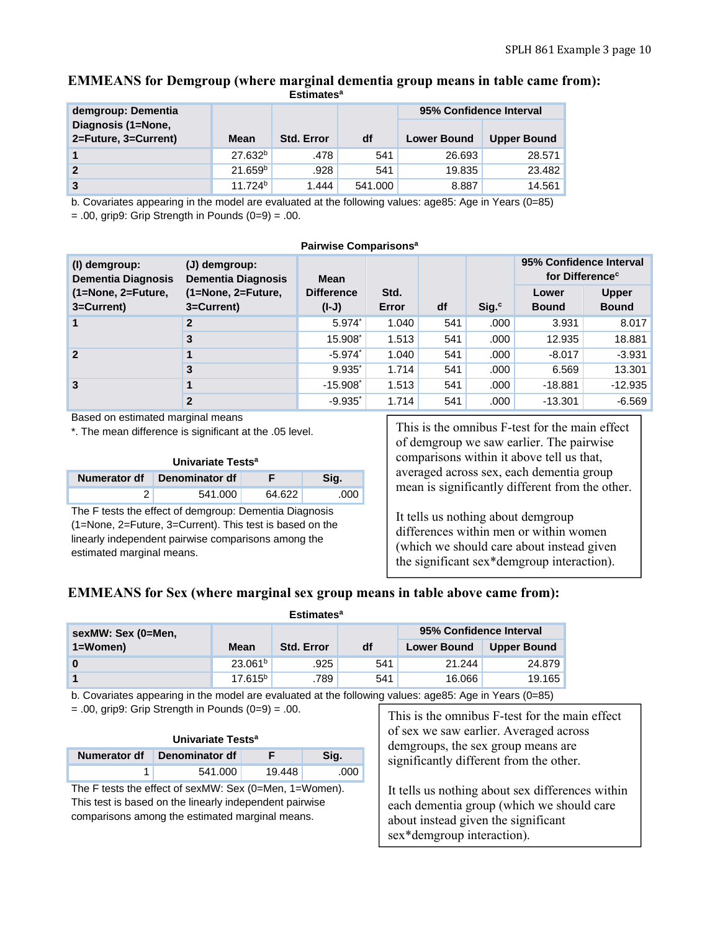### **EMMEANS for Demgroup (where marginal dementia group means in table came from): Estimatesa**

| demgroup: Dementia                         |                     |                   |         | 95% Confidence Interval |                    |
|--------------------------------------------|---------------------|-------------------|---------|-------------------------|--------------------|
| Diagnosis (1=None,<br>2=Future, 3=Current) | <b>Mean</b>         | <b>Std. Error</b> | df      | <b>Lower Bound</b>      | <b>Upper Bound</b> |
|                                            | 27.632 <sup>b</sup> | .478              | 541     | 26.693                  | 28.571             |
| $\sqrt{2}$                                 | 21.659 <sup>b</sup> | .928              | 541     | 19.835                  | 23.482             |
| $\sqrt{3}$                                 | 11.724 <sup>b</sup> | 1.444             | 541.000 | 8.887                   | 14.561             |

b. Covariates appearing in the model are evaluated at the following values: age85: Age in Years (0=85)

 $= .00$ , grip9: Grip Strength in Pounds  $(0=9) = .00$ .

| Pairwise Comparisons <sup>a</sup> |
|-----------------------------------|
|                                   |

| (I) demgroup:<br><b>Dementia Diagnosis</b> | (J) demgroup:<br><b>Dementia Diagnosis</b> | 95% Confidence Interval<br>for Difference <sup>c</sup><br>Mean |               |     |                   |                       |                              |
|--------------------------------------------|--------------------------------------------|----------------------------------------------------------------|---------------|-----|-------------------|-----------------------|------------------------------|
| (1=None, 2=Future,<br>3=Current)           | (1=None, 2=Future,<br>3=Current)           | <b>Difference</b><br>$(I-J)$                                   | Std.<br>Error | df  | Sig. <sup>c</sup> | Lower<br><b>Bound</b> | <b>Upper</b><br><b>Bound</b> |
|                                            | $\overline{2}$                             | $5.974^{*}$                                                    | 1.040         | 541 | .000              | 3.931                 | 8.017                        |
|                                            | 3                                          | 15.908                                                         | 1.513         | 541 | .000              | 12.935                | 18.881                       |
| $\overline{2}$                             |                                            | $-5.974$ <sup>*</sup>                                          | 1.040         | 541 | .000              | $-8.017$              | $-3.931$                     |
|                                            | 3                                          | $9.935$ <sup>*</sup>                                           | 1.714         | 541 | .000              | 6.569                 | 13.301                       |
| $\overline{3}$                             |                                            | $-15.908$ <sup>*</sup>                                         | 1.513         | 541 | .000              | $-18.881$             | $-12.935$                    |
|                                            | $\mathbf{2}$                               | $-9.935$ <sup>*</sup>                                          | 1.714         | 541 | .000              | $-13.301$             | $-6.569$                     |

Based on estimated marginal means

\*. The mean difference is significant at the .05 level.

#### **Univariate Testsa**

| Numerator df Denominator df |        |      |
|-----------------------------|--------|------|
| 541.000                     | 64 B22 | .000 |

The F tests the effect of demgroup: Dementia Diagnosis (1=None, 2=Future, 3=Current). This test is based on the linearly independent pairwise comparisons among the estimated marginal means.

This is the omnibus F-test for the main effect of demgroup we saw earlier. The pairwise comparisons within it above tell us that, averaged across sex, each dementia group mean is significantly different from the other.

It tells us nothing about demgroup differences within men or within women (which we should care about instead given the significant sex\*demgroup interaction).

## **EMMEANS for Sex (where marginal sex group means in table above came from): Estimatesa**

| -----------        |                     |                   |     |                         |                    |  |  |  |  |
|--------------------|---------------------|-------------------|-----|-------------------------|--------------------|--|--|--|--|
| sexMW: Sex (0=Men, |                     |                   |     | 95% Confidence Interval |                    |  |  |  |  |
| $1 = W$ omen $)$   | Mean                | <b>Std. Error</b> | df  | <b>Lower Bound</b>      | <b>Upper Bound</b> |  |  |  |  |
| 0                  | 23.061 <sup>b</sup> | .925              | 541 | 21.244                  | 24.879             |  |  |  |  |
|                    | 17.615 <sup>b</sup> | .789              | 541 | 16.066                  | 19.165             |  |  |  |  |

b. Covariates appearing in the model are evaluated at the following values: age85: Age in Years (0=85)

 $= .00$ , grip9: Grip Strength in Pounds  $(0=9) = .00$ .

| Univariate Tests <sup>a</sup>       |         |        |      |  |  |  |  |
|-------------------------------------|---------|--------|------|--|--|--|--|
| Numerator df Denominator df<br>Sia. |         |        |      |  |  |  |  |
|                                     | 541.000 | 19.448 | .000 |  |  |  |  |

The F tests the effect of sexMW: Sex (0=Men, 1=Women). This test is based on the linearly independent pairwise comparisons among the estimated marginal means.

This is the omnibus F-test for the main effect of sex we saw earlier. Averaged across demgroups, the sex group means are significantly different from the other.

It tells us nothing about sex differences within each dementia group (which we should care about instead given the significant sex\*demgroup interaction).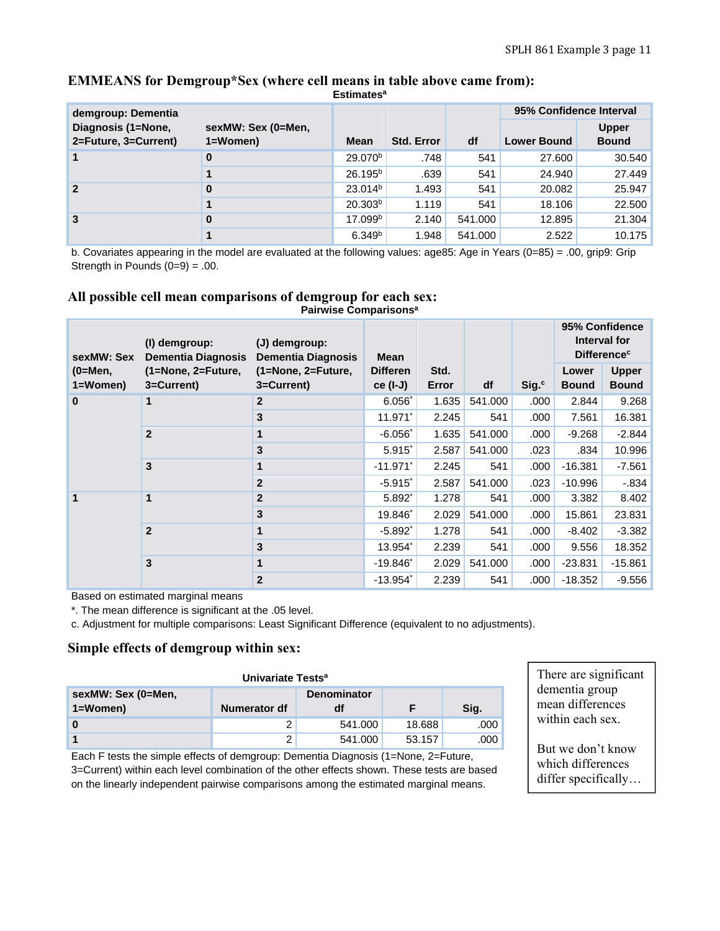|                      |                    | ESUTILIALES         |                   |         |                         |              |  |  |
|----------------------|--------------------|---------------------|-------------------|---------|-------------------------|--------------|--|--|
| demgroup: Dementia   |                    |                     |                   |         | 95% Confidence Interval |              |  |  |
| Diagnosis (1=None,   | sexMW: Sex (0=Men, |                     |                   |         |                         | <b>Upper</b> |  |  |
| 2=Future, 3=Current) | 1=Women)           | Mean                | <b>Std. Error</b> | df      | <b>Lower Bound</b>      | <b>Bound</b> |  |  |
| $\mathbf 1$          | 0                  | 29.070 <sup>b</sup> | .748              | 541     | 27.600                  | 30.540       |  |  |
|                      |                    | 26.195 <sup>b</sup> | .639              | 541     | 24.940                  | 27.449       |  |  |
| $\overline{2}$       | 0                  | 23.014 <sup>b</sup> | 1.493             | 541     | 20.082                  | 25.947       |  |  |
|                      |                    | 20.303 <sup>b</sup> | 1.119             | 541     | 18.106                  | 22.500       |  |  |
| 3                    | 0                  | 17.099 <sup>b</sup> | 2.140             | 541.000 | 12.895                  | 21.304       |  |  |
|                      |                    | 6.349 <sup>b</sup>  | 1.948             | 541.000 | 2.522                   | 10.175       |  |  |

### **EMMEANS for Demgroup\*Sex (where cell means in table above came from): Estimatesa**

b. Covariates appearing in the model are evaluated at the following values: age85: Age in Years (0=85) = .00, grip9: Grip Strength in Pounds  $(0=9) = .00$ .

# **All possible cell mean comparisons of demgroup for each sex:**

| sexMW: Sex | (I) demgroup:<br><b>Dementia Diagnosis</b> | (J) demgroup:<br><b>Dementia Diagnosis</b> | Mean                   |       |         |                   | 95% Confidence<br>Interval for<br><b>Difference<sup>c</sup></b> |              |  |
|------------|--------------------------------------------|--------------------------------------------|------------------------|-------|---------|-------------------|-----------------------------------------------------------------|--------------|--|
| (0=Men,    | $(1 = None, 2 = Future,$                   | (1=None, 2=Future,                         | <b>Differen</b>        | Std.  |         |                   | Lower                                                           | <b>Upper</b> |  |
| 1=Women)   | 3=Current)                                 | 3=Current)                                 | $ce (I-J)$             | Error | df      | Sig. <sup>c</sup> | <b>Bound</b>                                                    | <b>Bound</b> |  |
| $\bf{0}$   | 1                                          | $\overline{2}$                             | $6.056^*$              | 1.635 | 541.000 | .000              | 2.844                                                           | 9.268        |  |
|            |                                            | 3                                          | $11.971$ <sup>*</sup>  | 2.245 | 541     | .000              | 7.561                                                           | 16.381       |  |
|            | $\overline{2}$                             | 1                                          | $-6.056$ <sup>*</sup>  | 1.635 | 541.000 | .000              | $-9.268$                                                        | $-2.844$     |  |
|            |                                            | 3                                          | $5.915$ <sup>*</sup>   | 2.587 | 541.000 | .023              | .834                                                            | 10.996       |  |
|            | 3                                          | 1                                          | $-11.971$ <sup>*</sup> | 2.245 | 541     | .000              | $-16.381$                                                       | $-7.561$     |  |
|            |                                            | $\mathbf{2}$                               | $-5.915$ <sup>*</sup>  | 2.587 | 541.000 | .023              | $-10.996$                                                       | $-0.834$     |  |
| 1          | 1                                          | $\overline{2}$                             | 5.892                  | 1.278 | 541     | .000              | 3.382                                                           | 8.402        |  |
|            |                                            | $\mathbf{3}$                               | 19.846                 | 2.029 | 541.000 | .000              | 15.861                                                          | 23.831       |  |
|            | $\overline{2}$                             | 1                                          | $-5.892$ <sup>*</sup>  | 1.278 | 541     | .000              | $-8.402$                                                        | $-3.382$     |  |
|            |                                            | 3                                          | 13.954                 | 2.239 | 541     | .000              | 9.556                                                           | 18.352       |  |
|            | 3                                          | 1                                          | $-19.846$ <sup>*</sup> | 2.029 | 541.000 | .000              | $-23.831$                                                       | -15.861      |  |
|            |                                            | $\overline{2}$                             | $-13.954$ <sup>*</sup> | 2.239 | 541     | .000              | $-18.352$                                                       | $-9.556$     |  |

**Pairwise Comparisonsa**

Based on estimated marginal means

\*. The mean difference is significant at the .05 level.

c. Adjustment for multiple comparisons: Least Significant Difference (equivalent to no adjustments).

## **Simple effects of demgroup within sex:**

| Univariate Tests <sup>a</sup> |              |                    |        |      |  |  |  |  |
|-------------------------------|--------------|--------------------|--------|------|--|--|--|--|
| sexMW: Sex (0=Men,            |              | <b>Denominator</b> |        |      |  |  |  |  |
| 1=Women)                      | Numerator df | df                 |        | Sig. |  |  |  |  |
|                               |              | 541.000            | 18.688 | .000 |  |  |  |  |
|                               |              | 541.000            | 53.157 | .000 |  |  |  |  |

Each F tests the simple effects of demgroup: Dementia Diagnosis (1=None, 2=Future, 3=Current) within each level combination of the other effects shown. These tests are based on the linearly independent pairwise comparisons among the estimated marginal means.

There are significant dementia group mean differences within each sex.

But we don't know which differences differ specifically…